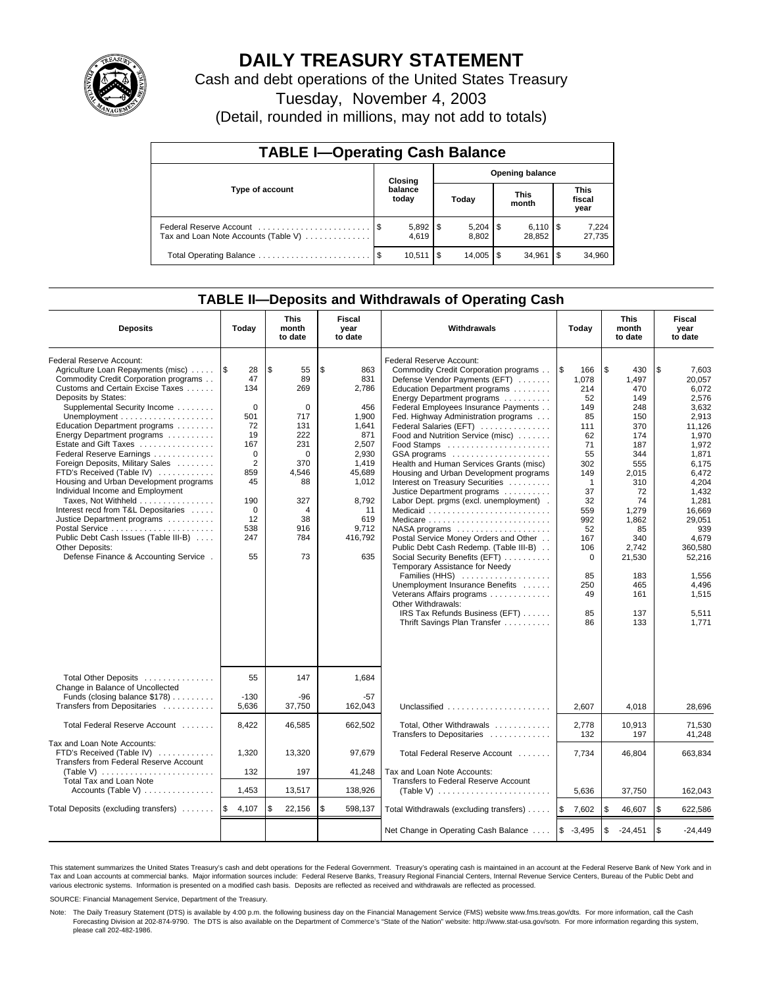

# **DAILY TREASURY STATEMENT**

Cash and debt operations of the United States Treasury

Tuesday, November 4, 2003

(Detail, rounded in millions, may not add to totals)

| <b>TABLE I-Operating Cash Balance</b> |                                   |                       |       |       |                      |                              |                               |                 |  |
|---------------------------------------|-----------------------------------|-----------------------|-------|-------|----------------------|------------------------------|-------------------------------|-----------------|--|
|                                       | <b>Opening balance</b><br>Closing |                       |       |       |                      |                              |                               |                 |  |
| Type of account                       |                                   | balance<br>today      | Today |       | <b>This</b><br>month |                              | <b>This</b><br>fiscal<br>year |                 |  |
| Tax and Loan Note Accounts (Table V)  |                                   | $5,892$   \$<br>4.619 |       | 8.802 |                      | $6,110$ $\sqrt{5}$<br>28,852 |                               | 7,224<br>27,735 |  |
|                                       |                                   | 10.511                | 1\$   |       |                      | 34.961                       | l \$                          | 34,960          |  |

## **TABLE II—Deposits and Withdrawals of Operating Cash**

| <b>Deposits</b>                                                                                                                                                                                                                                                                                                                                                                                                                                                                                                                                                                                                                                                               | Today                                                                                                                                                  | <b>This</b><br>month<br>to date                                                                                                | <b>Fiscal</b><br>year<br>to date                                                                                                                         | Withdrawals                                                                                                                                                                                                                                                                                                                                                                                                                                                                                                                                                                                                                                                                                                                                                                                                                                                                                                                                                        | Today                                                                                                                                                                                        | <b>This</b><br>month<br>to date                                                                                                                                                                      | Fiscal<br>year<br>to date                                                                                                                                                                                                                         |
|-------------------------------------------------------------------------------------------------------------------------------------------------------------------------------------------------------------------------------------------------------------------------------------------------------------------------------------------------------------------------------------------------------------------------------------------------------------------------------------------------------------------------------------------------------------------------------------------------------------------------------------------------------------------------------|--------------------------------------------------------------------------------------------------------------------------------------------------------|--------------------------------------------------------------------------------------------------------------------------------|----------------------------------------------------------------------------------------------------------------------------------------------------------|--------------------------------------------------------------------------------------------------------------------------------------------------------------------------------------------------------------------------------------------------------------------------------------------------------------------------------------------------------------------------------------------------------------------------------------------------------------------------------------------------------------------------------------------------------------------------------------------------------------------------------------------------------------------------------------------------------------------------------------------------------------------------------------------------------------------------------------------------------------------------------------------------------------------------------------------------------------------|----------------------------------------------------------------------------------------------------------------------------------------------------------------------------------------------|------------------------------------------------------------------------------------------------------------------------------------------------------------------------------------------------------|---------------------------------------------------------------------------------------------------------------------------------------------------------------------------------------------------------------------------------------------------|
| Federal Reserve Account:<br>Agriculture Loan Repayments (misc)    \$<br>Commodity Credit Corporation programs<br>Customs and Certain Excise Taxes<br>Deposits by States:<br>Supplemental Security Income<br>Education Department programs<br>Energy Department programs<br>Estate and Gift Taxes<br>Federal Reserve Earnings<br>Foreign Deposits, Military Sales<br>FTD's Received (Table IV)<br>Housing and Urban Development programs<br>Individual Income and Employment<br>Taxes, Not Withheld<br>Interest recd from T&L Depositaries<br>Justice Department programs<br>Public Debt Cash Issues (Table III-B)<br>Other Deposits:<br>Defense Finance & Accounting Service. | 28<br>47<br>134<br>$\mathbf 0$<br>501<br>72<br>19<br>167<br>$\mathbf 0$<br>$\overline{2}$<br>859<br>45<br>190<br>$\mathbf 0$<br>12<br>538<br>247<br>55 | \$<br>55<br>89<br>269<br>0<br>717<br>131<br>222<br>231<br>$\Omega$<br>370<br>4,546<br>88<br>327<br>4<br>38<br>916<br>784<br>73 | \$<br>863<br>831<br>2,786<br>456<br>1,900<br>1,641<br>871<br>2.507<br>2,930<br>1,419<br>45,689<br>1,012<br>8,792<br>11<br>619<br>9,712<br>416,792<br>635 | Federal Reserve Account:<br>Commodity Credit Corporation programs<br>Defense Vendor Payments (EFT)<br>Education Department programs<br>Energy Department programs<br>Federal Employees Insurance Payments<br>Fed. Highway Administration programs<br>Federal Salaries (EFT)<br>Food and Nutrition Service (misc)<br>Food Stamps<br>GSA programs<br>Health and Human Services Grants (misc)<br>Housing and Urban Development programs<br>Interest on Treasury Securities<br>Justice Department programs<br>Labor Dept. prgms (excl. unemployment).<br>Medicaid<br>Medicare<br>$NASA$ programs $\ldots \ldots \ldots \ldots \ldots$<br>Postal Service Money Orders and Other<br>Public Debt Cash Redemp. (Table III-B)<br>Social Security Benefits (EFT)<br>Temporary Assistance for Needy<br>Families (HHS)<br>Unemployment Insurance Benefits<br>Veterans Affairs programs<br>Other Withdrawals:<br>IRS Tax Refunds Business (EFT)<br>Thrift Savings Plan Transfer | ۱\$<br>166<br>1.078<br>214<br>52<br>149<br>85<br>111<br>62<br>71<br>55<br>302<br>149<br>$\mathbf 1$<br>37<br>32<br>559<br>992<br>52<br>167<br>106<br>$\Omega$<br>85<br>250<br>49<br>85<br>86 | l \$<br>430<br>1.497<br>470<br>149<br>248<br>150<br>370<br>174<br>187<br>344<br>555<br>2.015<br>310<br>72<br>74<br>1.279<br>1.862<br>85<br>340<br>2,742<br>21,530<br>183<br>465<br>161<br>137<br>133 | \$<br>7,603<br>20.057<br>6.072<br>2,576<br>3.632<br>2,913<br>11,126<br>1,970<br>1.972<br>1,871<br>6,175<br>6.472<br>4,204<br>1,432<br>1,281<br>16.669<br>29,051<br>939<br>4.679<br>360,580<br>52,216<br>1.556<br>4,496<br>1,515<br>5,511<br>1,771 |
| Total Other Deposits<br>Change in Balance of Uncollected<br>Funds (closing balance \$178)<br>Transfers from Depositaries                                                                                                                                                                                                                                                                                                                                                                                                                                                                                                                                                      | 55<br>$-130$<br>5.636                                                                                                                                  | 147<br>$-96$<br>37,750                                                                                                         | 1,684<br>$-57$<br>162.043                                                                                                                                | Unclassified                                                                                                                                                                                                                                                                                                                                                                                                                                                                                                                                                                                                                                                                                                                                                                                                                                                                                                                                                       | 2.607                                                                                                                                                                                        | 4.018                                                                                                                                                                                                | 28.696                                                                                                                                                                                                                                            |
| Total Federal Reserve Account                                                                                                                                                                                                                                                                                                                                                                                                                                                                                                                                                                                                                                                 | 8,422                                                                                                                                                  | 46,585                                                                                                                         | 662,502                                                                                                                                                  | Total, Other Withdrawals                                                                                                                                                                                                                                                                                                                                                                                                                                                                                                                                                                                                                                                                                                                                                                                                                                                                                                                                           | 2,778                                                                                                                                                                                        | 10,913                                                                                                                                                                                               | 71,530                                                                                                                                                                                                                                            |
| Tax and Loan Note Accounts:<br>FTD's Received (Table IV)<br>Transfers from Federal Reserve Account<br>(Table V) $\ldots \ldots \ldots \ldots \ldots \ldots \ldots$<br><b>Total Tax and Loan Note</b>                                                                                                                                                                                                                                                                                                                                                                                                                                                                          | 1,320<br>132                                                                                                                                           | 13,320<br>197                                                                                                                  | 97,679<br>41,248                                                                                                                                         | Transfers to Depositaries<br>Total Federal Reserve Account<br>Tax and Loan Note Accounts:<br>Transfers to Federal Reserve Account                                                                                                                                                                                                                                                                                                                                                                                                                                                                                                                                                                                                                                                                                                                                                                                                                                  | 132<br>7,734                                                                                                                                                                                 | 197<br>46,804                                                                                                                                                                                        | 41.248<br>663,834                                                                                                                                                                                                                                 |
| Accounts (Table V)                                                                                                                                                                                                                                                                                                                                                                                                                                                                                                                                                                                                                                                            | 1,453                                                                                                                                                  | 13,517                                                                                                                         | 138,926                                                                                                                                                  | (Table V) $\ldots \ldots \ldots \ldots \ldots \ldots \ldots$                                                                                                                                                                                                                                                                                                                                                                                                                                                                                                                                                                                                                                                                                                                                                                                                                                                                                                       | 5,636                                                                                                                                                                                        | 37,750                                                                                                                                                                                               | 162,043                                                                                                                                                                                                                                           |
| Total Deposits (excluding transfers)                                                                                                                                                                                                                                                                                                                                                                                                                                                                                                                                                                                                                                          | l \$<br>4,107                                                                                                                                          | \$<br>22,156                                                                                                                   | \$<br>598,137                                                                                                                                            | Total Withdrawals (excluding transfers)                                                                                                                                                                                                                                                                                                                                                                                                                                                                                                                                                                                                                                                                                                                                                                                                                                                                                                                            | ۱\$<br>7,602                                                                                                                                                                                 | <b>\$</b><br>46,607                                                                                                                                                                                  | \$<br>622,586                                                                                                                                                                                                                                     |
|                                                                                                                                                                                                                                                                                                                                                                                                                                                                                                                                                                                                                                                                               |                                                                                                                                                        |                                                                                                                                |                                                                                                                                                          | Net Change in Operating Cash Balance                                                                                                                                                                                                                                                                                                                                                                                                                                                                                                                                                                                                                                                                                                                                                                                                                                                                                                                               | $$ -3,495$                                                                                                                                                                                   | $\sqrt{3}$<br>$-24,451$                                                                                                                                                                              | \$<br>$-24,449$                                                                                                                                                                                                                                   |

This statement summarizes the United States Treasury's cash and debt operations for the Federal Government. Treasury's operating cash is maintained in an account at the Federal Reserve Bank of New York and in Tax and Loan accounts at commercial banks. Major information sources include: Federal Reserve Banks, Treasury Regional Financial Centers, Internal Revenue Service Centers, Bureau of the Public Debt and<br>various electronic s

SOURCE: Financial Management Service, Department of the Treasury.

Note: The Daily Treasury Statement (DTS) is available by 4:00 p.m. the following business day on the Financial Management Service (FMS) website www.fms.treas.gov/dts. For more information, call the Cash Forecasting Division at 202-874-9790. The DTS is also available on the Department of Commerce's "State of the Nation" website: http://www.stat-usa.gov/sotn. For more information regarding this system, please call 202-482-1986.